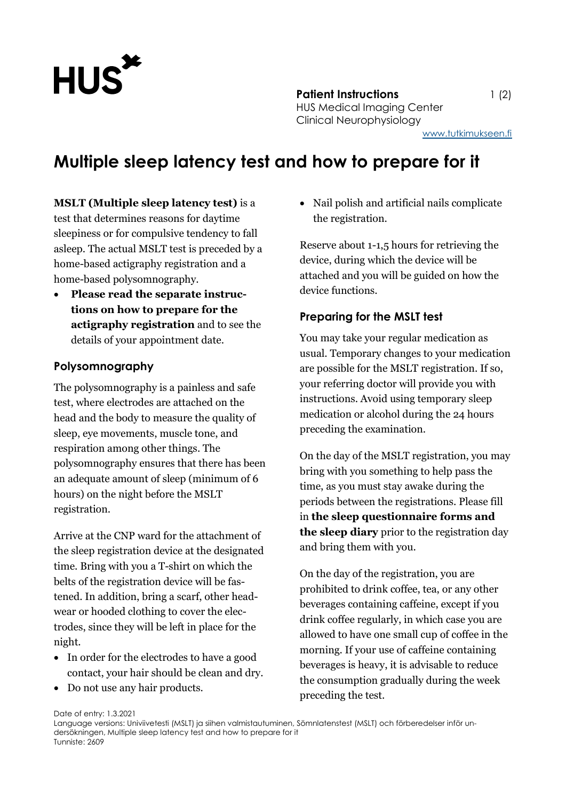

**Patient Instructions** 1 (2) HUS Medical Imaging Center Clinical Neurophysiology [www.tutkimukseen.fi](http://www.tutkimukseen.fi/)

# **Multiple sleep latency test and how to prepare for it**

**MSLT (Multiple sleep latency test)** is a test that determines reasons for daytime sleepiness or for compulsive tendency to fall asleep. The actual MSLT test is preceded by a home-based actigraphy registration and a home-based polysomnography.

 **Please read the separate instructions on how to prepare for the actigraphy registration** and to see the details of your appointment date.

## **Polysomnography**

The polysomnography is a painless and safe test, where electrodes are attached on the head and the body to measure the quality of sleep, eye movements, muscle tone, and respiration among other things. The polysomnography ensures that there has been an adequate amount of sleep (minimum of 6 hours) on the night before the MSLT registration.

Arrive at the CNP ward for the attachment of the sleep registration device at the designated time. Bring with you a T-shirt on which the belts of the registration device will be fastened. In addition, bring a scarf, other headwear or hooded clothing to cover the electrodes, since they will be left in place for the night.

- In order for the electrodes to have a good contact, your hair should be clean and dry.
- Do not use any hair products.

 Nail polish and artificial nails complicate the registration.

Reserve about 1-1,5 hours for retrieving the device, during which the device will be attached and you will be guided on how the device functions.

# **Preparing for the MSLT test**

You may take your regular medication as usual. Temporary changes to your medication are possible for the MSLT registration. If so, your referring doctor will provide you with instructions. Avoid using temporary sleep medication or alcohol during the 24 hours preceding the examination.

On the day of the MSLT registration, you may bring with you something to help pass the time, as you must stay awake during the periods between the registrations. Please fill in **the sleep questionnaire forms and the sleep diary** prior to the registration day and bring them with you.

On the day of the registration, you are prohibited to drink coffee, tea, or any other beverages containing caffeine, except if you drink coffee regularly, in which case you are allowed to have one small cup of coffee in the morning. If your use of caffeine containing beverages is heavy, it is advisable to reduce the consumption gradually during the week preceding the test.

Date of entry: 1.3.2021